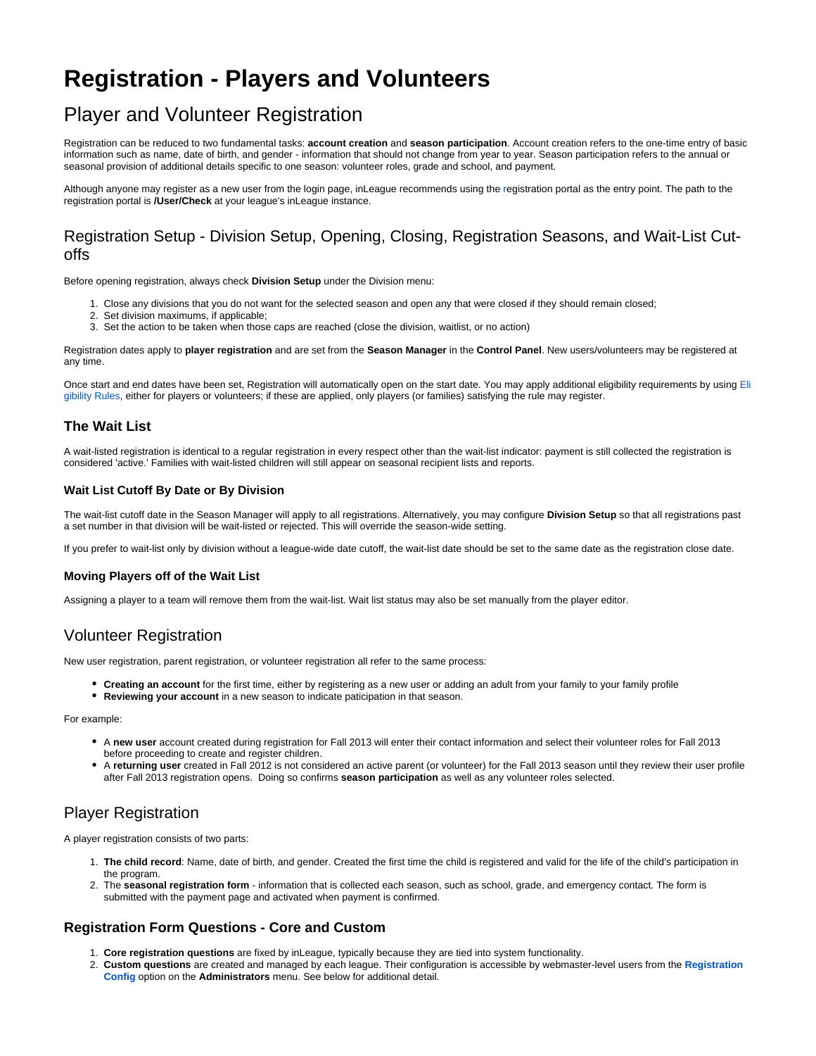# **Registration - Players and Volunteers**

## Player and Volunteer Registration

Registration can be reduced to two fundamental tasks: **account creation** and **season participation**. Account creation refers to the one-time entry of basic information such as name, date of birth, and gender - information that should not change from year to year. Season participation refers to the annual or seasonal provision of additional details specific to one season: volunteer roles, grade and school, and payment.

Although anyone may register as a new user from the login page, inLeague recommends using the [r](http://inleague-local.inleague.org/inleague/registration/pre-pre-register.cfm)egistration portal as the entry point. The path to the registration portal is **/User/Check** at your league's inLeague instance.

## Registration Setup - Division Setup, Opening, Closing, Registration Seasons, and Wait-List Cutoffs

Before opening registration, always check **Division Setup** under the Division menu:

- 1. Close any divisions that you do not want for the selected season and open any that were closed if they should remain closed;
- 2. Set division maximums, if applicable;
- 3. Set the action to be taken when those caps are reached (close the division, waitlist, or no action)

Registration dates apply to **player registration** and are set from the **Season Manager** in the **Control Panel**. New users/volunteers may be registered at any time.

Once start and end dates have been set, Registration will automatically open on the start date. You may apply additional eligibility requirements by using [Eli](https://confluence.inleague.org/display/IUG/Eligibility+Rules+-+Players%2C++Coaches%2C+and+Referees) [gibility Rules](https://confluence.inleague.org/display/IUG/Eligibility+Rules+-+Players%2C++Coaches%2C+and+Referees), either for players or volunteers; if these are applied, only players (or families) satisfying the rule may register.

#### **The Wait List**

A wait-listed registration is identical to a regular registration in every respect other than the wait-list indicator: payment is still collected the registration is considered 'active.' Families with wait-listed children will still appear on seasonal recipient lists and reports.

#### **Wait List Cutoff By Date or By Division**

The wait-list cutoff date in the Season Manager will apply to all registrations. Alternatively, you may configure **Division Setup** so that all registrations past a set number in that division will be wait-listed or rejected. This will override the season-wide setting.

If you prefer to wait-list only by division without a league-wide date cutoff, the wait-list date should be set to the same date as the registration close date.

#### **Moving Players off of the Wait List**

Assigning a player to a team will remove them from the wait-list. Wait list status may also be set manually from the player editor.

## Volunteer Registration

New user registration, parent registration, or volunteer registration all refer to the same process:

- **Creating an account** for the first time, either by registering as a new user or adding an adult from your family to your family profile
- **Reviewing your account** in a new season to indicate paticipation in that season.

For example:

- A **new user** account created during registration for Fall 2013 will enter their contact information and select their volunteer roles for Fall 2013 before proceeding to create and register children.
- A **returning user** created in Fall 2012 is not considered an active parent (or volunteer) for the Fall 2013 season until they review their user profile after Fall 2013 registration opens. Doing so confirms **season participation** as well as any volunteer roles selected.

## Player Registration

A player registration consists of two parts:

- 1. **The child record**: Name, date of birth, and gender. Created the first time the child is registered and valid for the life of the child's participation in the program.
- 2. The **seasonal registration form**  information that is collected each season, such as school, grade, and emergency contact. The form is submitted with the payment page and activated when payment is confirmed.

## **Registration Form Questions - Core and Custom**

- 1. **Core registration questions** are fixed by inLeague, typically because they are tied into system functionality.
- 2. **Custom questions** are created and managed by each league. Their configuration is accessible by webmaster-level users from the **[Registration](http://inleague-local.inleague.org/inleague/admin/registration-config.cfm)  [Config](http://inleague-local.inleague.org/inleague/admin/registration-config.cfm)** option on the **Administrators** menu. See below for additional detail.